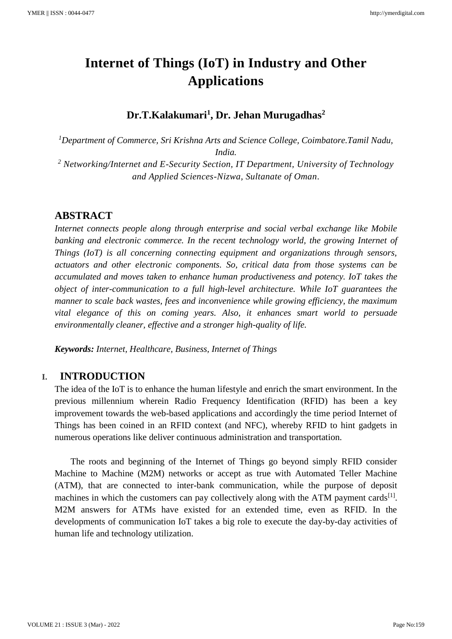# **Internet of Things (IoT) in Industry and Other Applications**

## **Dr.T.Kalakumari<sup>1</sup> , Dr. Jehan Murugadhas<sup>2</sup>**

*<sup>1</sup>Department of Commerce, Sri Krishna Arts and Science College, Coimbatore.Tamil Nadu, India. <sup>2</sup> Networking/Internet and E-Security Section, IT Department, University of Technology and Applied Sciences-Nizwa, Sultanate of Oman.*

## **ABSTRACT**

*Internet connects people along through enterprise and social verbal exchange like Mobile banking and electronic commerce. In the recent technology world, the growing Internet of Things (IoT) is all concerning connecting equipment and organizations through sensors, actuators and other electronic components. So, critical data from those systems can be accumulated and moves taken to enhance human productiveness and potency. IoT takes the object of inter-communication to a full high-level architecture. While IoT guarantees the manner to scale back wastes, fees and inconvenience while growing efficiency, the maximum vital elegance of this on coming years. Also, it enhances smart world to persuade environmentally cleaner, effective and a stronger high-quality of life.*

*Keywords: Internet, Healthcare, Business, Internet of Things*

#### **I. INTRODUCTION**

The idea of the IoT is to enhance the human lifestyle and enrich the smart environment. In the previous millennium wherein Radio Frequency Identification (RFID) has been a key improvement towards the web-based applications and accordingly the time period Internet of Things has been coined in an RFID context (and NFC), whereby RFID to hint gadgets in numerous operations like deliver continuous administration and transportation.

The roots and beginning of the Internet of Things go beyond simply RFID consider Machine to Machine (M2M) networks or accept as true with Automated Teller Machine (ATM), that are connected to inter-bank communication, while the purpose of deposit machines in which the customers can pay collectively along with the ATM payment cards<sup>[1]</sup>. M2M answers for ATMs have existed for an extended time, even as RFID. In the developments of communication IoT takes a big role to execute the day-by-day activities of human life and technology utilization.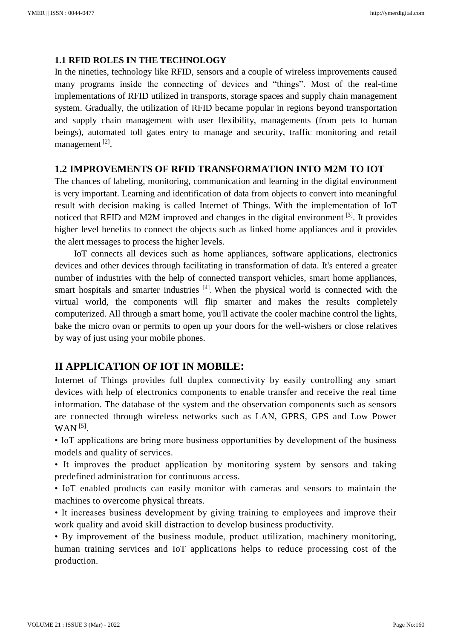#### **1.1 RFID ROLES IN THE TECHNOLOGY**

In the nineties, technology like RFID, sensors and a couple of wireless improvements caused many programs inside the connecting of devices and "things". Most of the real-time implementations of RFID utilized in transports, storage spaces and supply chain management system. Gradually, the utilization of RFID became popular in regions beyond transportation and supply chain management with user flexibility, managements (from pets to human beings), automated toll gates entry to manage and security, traffic monitoring and retail management<sup>[2]</sup>.

#### **1.2 IMPROVEMENTS OF RFID TRANSFORMATION INTO M2M TO IOT**

The chances of labeling, monitoring, communication and learning in the digital environment is very important. Learning and identification of data from objects to convert into meaningful result with decision making is called Internet of Things. With the implementation of IoT noticed that RFID and M2M improved and changes in the digital environment [3]. It provides higher level benefits to connect the objects such as linked home appliances and it provides the alert messages to process the higher levels.

IoT connects all devices such as home appliances, software applications, electronics devices and other devices through facilitating in transformation of data. It's entered a greater number of industries with the help of connected transport vehicles, smart home appliances, smart hospitals and smarter industries  $[4]$ . When the physical world is connected with the virtual world, the components will flip smarter and makes the results completely computerized. All through a smart home, you'll activate the cooler machine control the lights, bake the micro ovan or permits to open up your doors for the well-wishers or close relatives by way of just using your mobile phones.

## **II APPLICATION OF IOT IN MOBILE:**

Internet of Things provides full duplex connectivity by easily controlling any smart devices with help of electronics components to enable transfer and receive the real time information. The database of the system and the observation components such as sensors are connected through wireless networks such as LAN, GPRS, GPS and Low Power  $WAN$ <sup>[5]</sup>.

• IoT applications are bring more business opportunities by development of the business models and quality of services.

• It improves the product application by monitoring system by sensors and taking predefined administration for continuous access.

• IoT enabled products can easily monitor with cameras and sensors to maintain the machines to overcome physical threats.

• It increases business development by giving training to employees and improve their work quality and avoid skill distraction to develop business productivity.

• By improvement of the business module, product utilization, machinery monitoring, human training services and IoT applications helps to reduce processing cost of the production.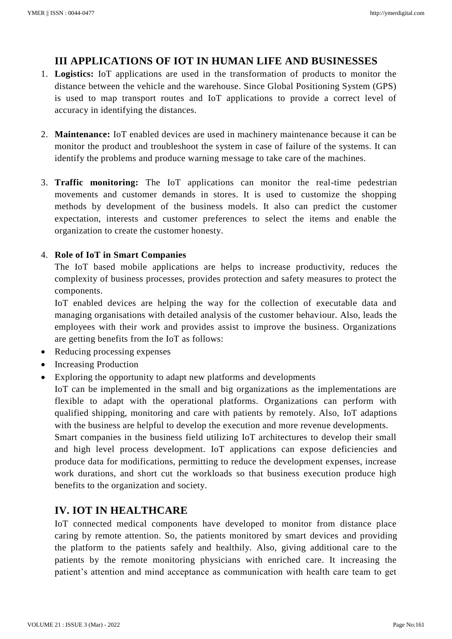# **III APPLICATIONS OF IOT IN HUMAN LIFE AND BUSINESSES**

- 1. **Logistics:** IoT applications are used in the transformation of products to monitor the distance between the vehicle and the warehouse. Since Global Positioning System (GPS) is used to map transport routes and IoT applications to provide a correct level of accuracy in identifying the distances.
- 2. **Maintenance:** IoT enabled devices are used in machinery maintenance because it can be monitor the product and troubleshoot the system in case of failure of the systems. It can identify the problems and produce warning message to take care of the machines.
- 3. **Traffic monitoring:** The IoT applications can monitor the real-time pedestrian movements and customer demands in stores. It is used to customize the shopping methods by development of the business models. It also can predict the customer expectation, interests and customer preferences to select the items and enable the organization to create the customer honesty.

#### 4. **Role of IoT in Smart Companies**

The IoT based mobile applications are helps to increase productivity, reduces the complexity of business processes, provides protection and safety measures to protect the components.

IoT enabled devices are helping the way for the collection of executable data and managing organisations with detailed analysis of the customer behaviour. Also, leads the employees with their work and provides assist to improve the business. Organizations are getting benefits from the IoT as follows:

- Reducing processing expenses
- Increasing Production
- Exploring the opportunity to adapt new platforms and developments

IoT can be implemented in the small and big organizations as the implementations are flexible to adapt with the operational platforms. Organizations can perform with qualified shipping, monitoring and care with patients by remotely. Also, IoT adaptions with the business are helpful to develop the execution and more revenue developments.

Smart companies in the business field utilizing IoT architectures to develop their small and high level process development. IoT applications can expose deficiencies and produce data for modifications, permitting to reduce the development expenses, increase work durations, and short cut the workloads so that business execution produce high benefits to the organization and society.

## **IV. IOT IN HEALTHCARE**

IoT connected medical components have developed to monitor from distance place caring by remote attention. So, the patients monitored by smart devices and providing the platform to the patients safely and healthily. Also, giving additional care to the patients by the remote monitoring physicians with enriched care. It increasing the patient's attention and mind acceptance as communication with health care team to get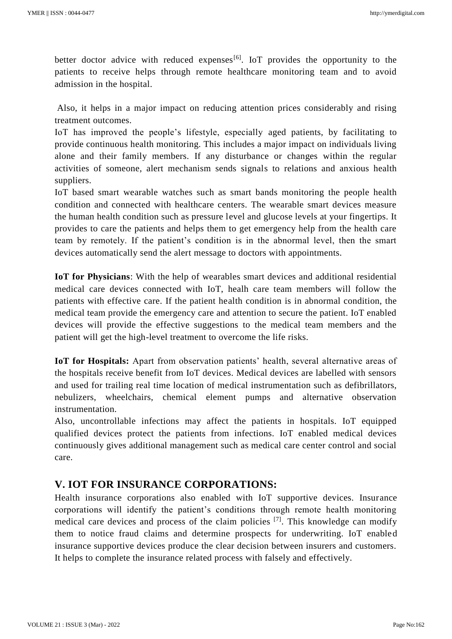better doctor advice with reduced expenses<sup>[6]</sup>. IoT provides the opportunity to the patients to receive helps through remote healthcare monitoring team and to avoid admission in the hospital.

Also, it helps in a major impact on reducing attention prices considerably and rising treatment outcomes.

IoT has improved the people's lifestyle, especially aged patients, by facilitating to provide continuous health monitoring. This includes a major impact on individuals living alone and their family members. If any disturbance or changes within the regular activities of someone, alert mechanism sends signals to relations and anxious health suppliers.

IoT based smart wearable watches such as smart bands monitoring the people health condition and connected with healthcare centers. The wearable smart devices measure the human health condition such as pressure level and glucose levels at your fingertips. It provides to care the patients and helps them to get emergency help from the health care team by remotely. If the patient's condition is in the abnormal level, then the smart devices automatically send the alert message to doctors with appointments.

**IoT for Physicians**: With the help of wearables smart devices and additional residential medical care devices connected with IoT, healh care team members will follow the patients with effective care. If the patient health condition is in abnormal condition, the medical team provide the emergency care and attention to secure the patient. IoT enabled devices will provide the effective suggestions to the medical team members and the patient will get the high-level treatment to overcome the life risks.

**IoT for Hospitals:** Apart from observation patients' health, several alternative areas of the hospitals receive benefit from IoT devices. Medical devices are labelled with sensors and used for trailing real time location of medical instrumentation such as defibrillators, nebulizers, wheelchairs, chemical element pumps and alternative observation instrumentation.

Also, uncontrollable infections may affect the patients in hospitals. IoT equipped qualified devices protect the patients from infections. IoT enabled medical devices continuously gives additional management such as medical care center control and social care.

## **V. IOT FOR INSURANCE CORPORATIONS:**

Health insurance corporations also enabled with IoT supportive devices. Insurance corporations will identify the patient's conditions through remote health monitoring medical care devices and process of the claim policies [7]. This knowledge can modify them to notice fraud claims and determine prospects for underwriting. IoT enabled insurance supportive devices produce the clear decision between insurers and customers. It helps to complete the insurance related process with falsely and effectively.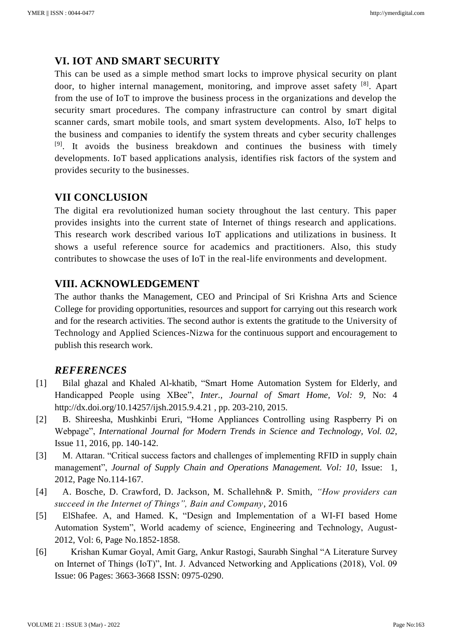## **VI. IOT AND SMART SECURITY**

This can be used as a simple method smart locks to improve physical security on plant door, to higher internal management, monitoring, and improve asset safety [8]. Apart from the use of IoT to improve the business process in the organizations and develop the security smart procedures. The company infrastructure can control by smart digital scanner cards, smart mobile tools, and smart system developments. Also, IoT helps to the business and companies to identify the system threats and cyber security challenges [9]. It avoids the business breakdown and continues the business with timely developments. IoT based applications analysis, identifies risk factors of the system and provides security to the businesses.

#### **VII CONCLUSION**

The digital era revolutionized human society throughout the last century. This paper provides insights into the current state of Internet of things research and applications. This research work described various IoT applications and utilizations in business. It shows a useful reference source for academics and practitioners. Also, this study contributes to showcase the uses of IoT in the real-life environments and development.

#### **VIII. ACKNOWLEDGEMENT**

The author thanks the Management, CEO and Principal of Sri Krishna Arts and Science College for providing opportunities, resources and support for carrying out this research work and for the research activities. The second author is extents the gratitude to the University of Technology and Applied Sciences-Nizwa for the continuous support and encouragement to publish this research work.

#### *REFERENCES*

- [1] Bilal ghazal and Khaled Al-khatib, "Smart Home Automation System for Elderly, and Handicapped People using XBee", *Inter., Journal of Smart Home, Vol: 9,* No: 4 http://dx.doi.org/10.14257/ijsh.2015.9.4.21 , pp. 203-210, 2015.
- [2] B. Shireesha, Mushkinbi Eruri, "Home Appliances Controlling using Raspberry Pi on Webpage", *International Journal for Modern Trends in Science and Technology, Vol. 02*, Issue 11, 2016, pp. 140-142.
- [3] M. Attaran. "Critical success factors and challenges of implementing RFID in supply chain management", *Journal of Supply Chain and Operations Management. Vol: 10*, Issue: 1, 2012, Page No.114-167.
- [4] A. Bosche, D. Crawford, D. Jackson, M. Schallehn& P. Smith, *"How providers can succeed in the Internet of Things", Bain and Company*, 2016
- [5] ElShafee. A, and Hamed. K, "Design and Implementation of a WI-FI based Home Automation System", World academy of science, Engineering and Technology, August-2012, Vol: 6, Page No.1852-1858.
- [6] Krishan Kumar Goyal, Amit Garg, Ankur Rastogi, Saurabh Singhal "A Literature Survey on Internet of Things (IoT)", Int. J. Advanced Networking and Applications (2018), Vol. 09 Issue: 06 Pages: 3663-3668 ISSN: 0975-0290.